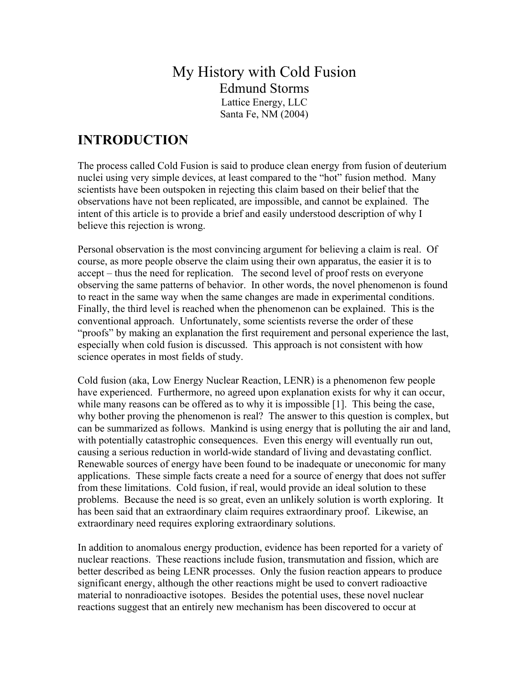# My History with Cold Fusion Edmund Storms Lattice Energy, LLC

Santa Fe, NM (2004)

# **INTRODUCTION**

The process called Cold Fusion is said to produce clean energy from fusion of deuterium nuclei using very simple devices, at least compared to the "hot" fusion method. Many scientists have been outspoken in rejecting this claim based on their belief that the observations have not been replicated, are impossible, and cannot be explained. The intent of this article is to provide a brief and easily understood description of why I believe this rejection is wrong.

Personal observation is the most convincing argument for believing a claim is real. Of course, as more people observe the claim using their own apparatus, the easier it is to accept – thus the need for replication. The second level of proof rests on everyone observing the same patterns of behavior. In other words, the novel phenomenon is found to react in the same way when the same changes are made in experimental conditions. Finally, the third level is reached when the phenomenon can be explained. This is the conventional approach. Unfortunately, some scientists reverse the order of these "proofs" by making an explanation the first requirement and personal experience the last, especially when cold fusion is discussed. This approach is not consistent with how science operates in most fields of study.

Cold fusion (aka, Low Energy Nuclear Reaction, LENR) is a phenomenon few people have experienced. Furthermore, no agreed upon explanation exists for why it can occur, while many reasons can be offered as to why it is impossible [1]. This being the case, why bother proving the phenomenon is real? The answer to this question is complex, but can be summarized as follows. Mankind is using energy that is polluting the air and land, with potentially catastrophic consequences. Even this energy will eventually run out, causing a serious reduction in world-wide standard of living and devastating conflict. Renewable sources of energy have been found to be inadequate or uneconomic for many applications. These simple facts create a need for a source of energy that does not suffer from these limitations. Cold fusion, if real, would provide an ideal solution to these problems. Because the need is so great, even an unlikely solution is worth exploring. It has been said that an extraordinary claim requires extraordinary proof. Likewise, an extraordinary need requires exploring extraordinary solutions.

In addition to anomalous energy production, evidence has been reported for a variety of nuclear reactions. These reactions include fusion, transmutation and fission, which are better described as being LENR processes. Only the fusion reaction appears to produce significant energy, although the other reactions might be used to convert radioactive material to nonradioactive isotopes. Besides the potential uses, these novel nuclear reactions suggest that an entirely new mechanism has been discovered to occur at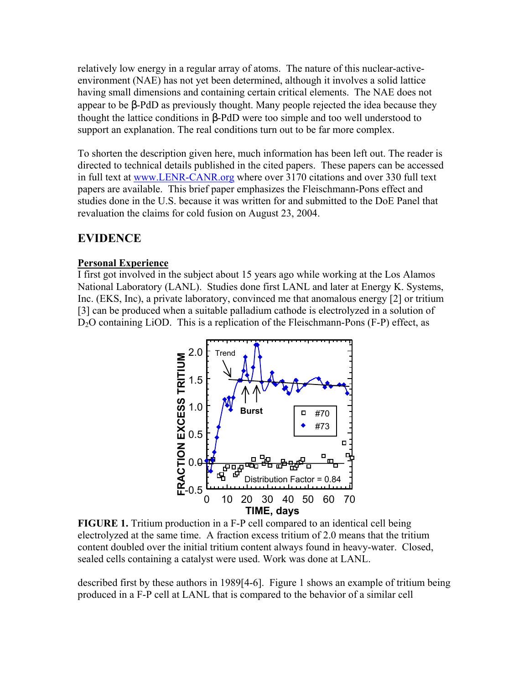relatively low energy in a regular array of atoms. The nature of this nuclear-activeenvironment (NAE) has not yet been determined, although it involves a solid lattice having small dimensions and containing certain critical elements. The NAE does not appear to be β-PdD as previously thought. Many people rejected the idea because they thought the lattice conditions in β-PdD were too simple and too well understood to support an explanation. The real conditions turn out to be far more complex.

To shorten the description given here, much information has been left out. The reader is directed to technical details published in the cited papers. These papers can be accessed in full text at www.LENR-CANR.org where over 3170 citations and over 330 full text papers are available. This brief paper emphasizes the Fleischmann-Pons effect and studies done in the U.S. because it was written for and submitted to the DoE Panel that revaluation the claims for cold fusion on August 23, 2004.

# **EVIDENCE**

#### **Personal Experience**

I first got involved in the subject about 15 years ago while working at the Los Alamos National Laboratory (LANL). Studies done first LANL and later at Energy K. Systems, Inc. (EKS, Inc), a private laboratory, convinced me that anomalous energy [2] or tritium [3] can be produced when a suitable palladium cathode is electrolyzed in a solution of D<sub>2</sub>O containing LiOD. This is a replication of the Fleischmann-Pons (F-P) effect, as



**FIGURE 1.** Tritium production in a F-P cell compared to an identical cell being electrolyzed at the same time. A fraction excess tritium of 2.0 means that the tritium content doubled over the initial tritium content always found in heavy-water. Closed, sealed cells containing a catalyst were used. Work was done at LANL.

described first by these authors in 1989[4-6]. Figure 1 shows an example of tritium being produced in a F-P cell at LANL that is compared to the behavior of a similar cell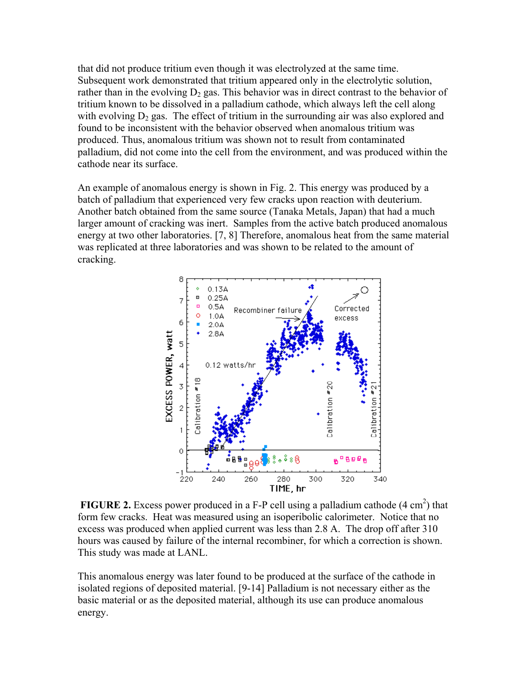that did not produce tritium even though it was electrolyzed at the same time. Subsequent work demonstrated that tritium appeared only in the electrolytic solution, rather than in the evolving  $D_2$  gas. This behavior was in direct contrast to the behavior of tritium known to be dissolved in a palladium cathode, which always left the cell along with evolving  $D_2$  gas. The effect of tritium in the surrounding air was also explored and found to be inconsistent with the behavior observed when anomalous tritium was produced. Thus, anomalous tritium was shown not to result from contaminated palladium, did not come into the cell from the environment, and was produced within the cathode near its surface.

An example of anomalous energy is shown in Fig. 2. This energy was produced by a batch of palladium that experienced very few cracks upon reaction with deuterium. Another batch obtained from the same source (Tanaka Metals, Japan) that had a much larger amount of cracking was inert. Samples from the active batch produced anomalous energy at two other laboratories. [7, 8] Therefore, anomalous heat from the same material was replicated at three laboratories and was shown to be related to the amount of cracking.



**FIGURE 2.** Excess power produced in a F-P cell using a palladium cathode  $(4 \text{ cm}^2)$  that form few cracks. Heat was measured using an isoperibolic calorimeter. Notice that no excess was produced when applied current was less than 2.8 A. The drop off after 310 hours was caused by failure of the internal recombiner, for which a correction is shown. This study was made at LANL.

This anomalous energy was later found to be produced at the surface of the cathode in isolated regions of deposited material. [9-14] Palladium is not necessary either as the basic material or as the deposited material, although its use can produce anomalous energy.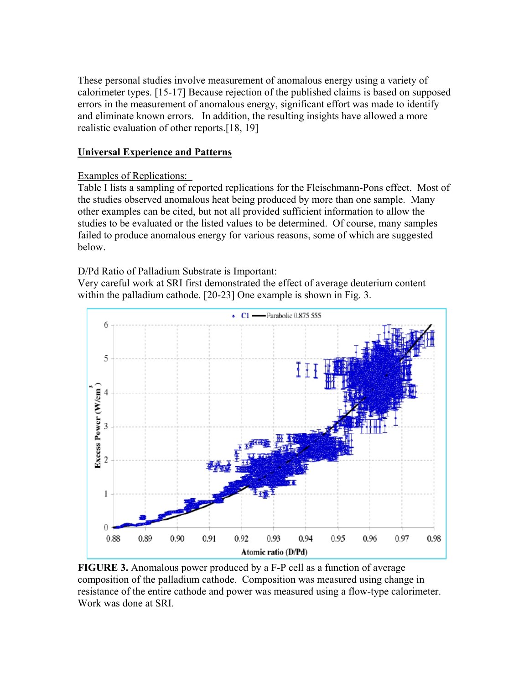These personal studies involve measurement of anomalous energy using a variety of calorimeter types. [15-17] Because rejection of the published claims is based on supposed errors in the measurement of anomalous energy, significant effort was made to identify and eliminate known errors. In addition, the resulting insights have allowed a more realistic evaluation of other reports.[18, 19]

## **Universal Experience and Patterns**

## Examples of Replications:

Table I lists a sampling of reported replications for the Fleischmann-Pons effect. Most of the studies observed anomalous heat being produced by more than one sample. Many other examples can be cited, but not all provided sufficient information to allow the studies to be evaluated or the listed values to be determined. Of course, many samples failed to produce anomalous energy for various reasons, some of which are suggested below.

# D/Pd Ratio of Palladium Substrate is Important:

Very careful work at SRI first demonstrated the effect of average deuterium content within the palladium cathode. [20-23] One example is shown in Fig. 3.



**FIGURE 3.** Anomalous power produced by a F-P cell as a function of average composition of the palladium cathode. Composition was measured using change in resistance of the entire cathode and power was measured using a flow-type calorimeter. Work was done at SRI.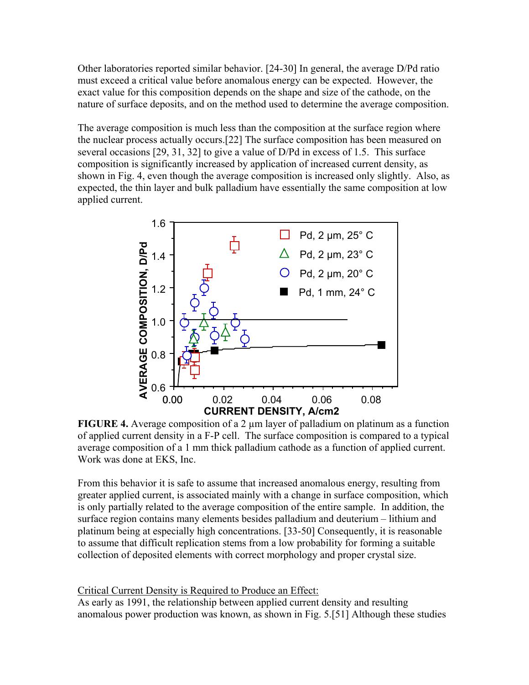Other laboratories reported similar behavior. [24-30] In general, the average D/Pd ratio must exceed a critical value before anomalous energy can be expected. However, the exact value for this composition depends on the shape and size of the cathode, on the nature of surface deposits, and on the method used to determine the average composition.

The average composition is much less than the composition at the surface region where the nuclear process actually occurs.[22] The surface composition has been measured on several occasions [29, 31, 32] to give a value of D/Pd in excess of 1.5. This surface composition is significantly increased by application of increased current density, as shown in Fig. 4, even though the average composition is increased only slightly. Also, as expected, the thin layer and bulk palladium have essentially the same composition at low applied current.



**FIGURE 4.** Average composition of a 2  $\mu$ m layer of palladium on platinum as a function of applied current density in a F-P cell. The surface composition is compared to a typical average composition of a 1 mm thick palladium cathode as a function of applied current. Work was done at EKS, Inc.

From this behavior it is safe to assume that increased anomalous energy, resulting from greater applied current, is associated mainly with a change in surface composition, which is only partially related to the average composition of the entire sample. In addition, the surface region contains many elements besides palladium and deuterium – lithium and platinum being at especially high concentrations. [33-50] Consequently, it is reasonable to assume that difficult replication stems from a low probability for forming a suitable collection of deposited elements with correct morphology and proper crystal size.

#### Critical Current Density is Required to Produce an Effect:

As early as 1991, the relationship between applied current density and resulting anomalous power production was known, as shown in Fig. 5.[51] Although these studies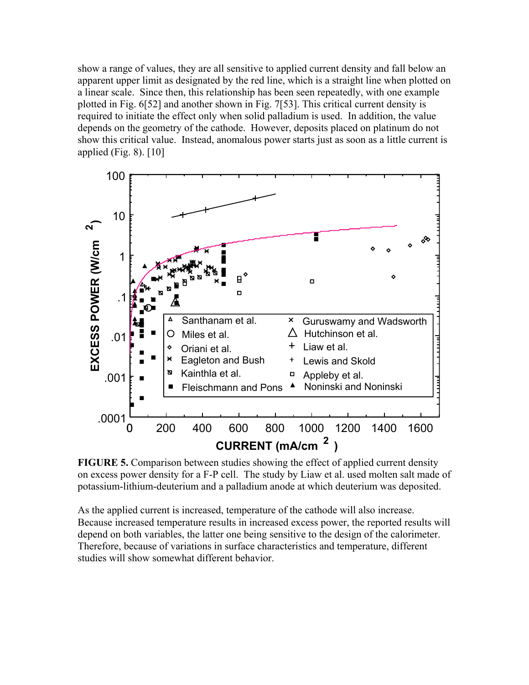show a range of values, they are all sensitive to applied current density and fall below an apparent upper limit as designated by the red line, which is a straight line when plotted on a linear scale. Since then, this relationship has been seen repeatedly, with one example plotted in Fig. 6[52] and another shown in Fig. 7[53]. This critical current density is required to initiate the effect only when solid palladium is used. In addition, the value depends on the geometry of the cathode. However, deposits placed on platinum do not show this critical value. Instead, anomalous power starts just as soon as a little current is applied (Fig. 8). [10]



**FIGURE 5.** Comparison between studies showing the effect of applied current density on excess power density for a F-P cell. The study by Liaw et al. used molten salt made of potassium-lithium-deuterium and a palladium anode at which deuterium was deposited.

As the applied current is increased, temperature of the cathode will also increase. Because increased temperature results in increased excess power, the reported results will depend on both variables, the latter one being sensitive to the design of the calorimeter. Therefore, because of variations in surface characteristics and temperature, different studies will show somewhat different behavior.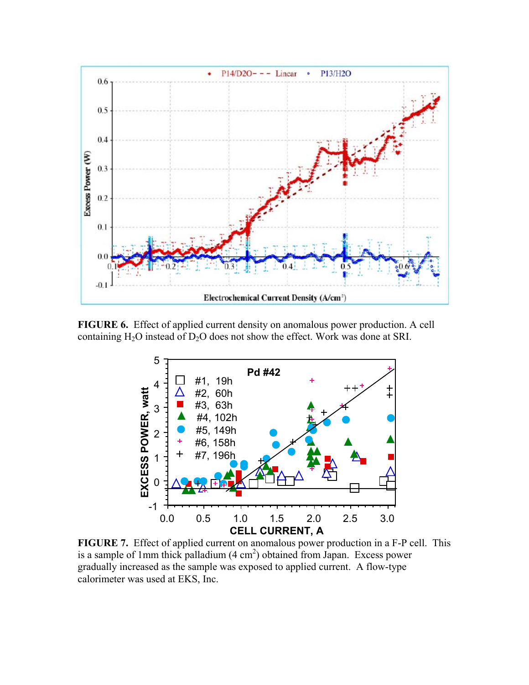

**FIGURE 6.** Effect of applied current density on anomalous power production. A cell containing  $H_2O$  instead of  $D_2O$  does not show the effect. Work was done at SRI.



**FIGURE 7.** Effect of applied current on anomalous power production in a F-P cell. This is a sample of 1mm thick palladium  $(4 \text{ cm}^2)$  obtained from Japan. Excess power gradually increased as the sample was exposed to applied current. A flow-type calorimeter was used at EKS, Inc.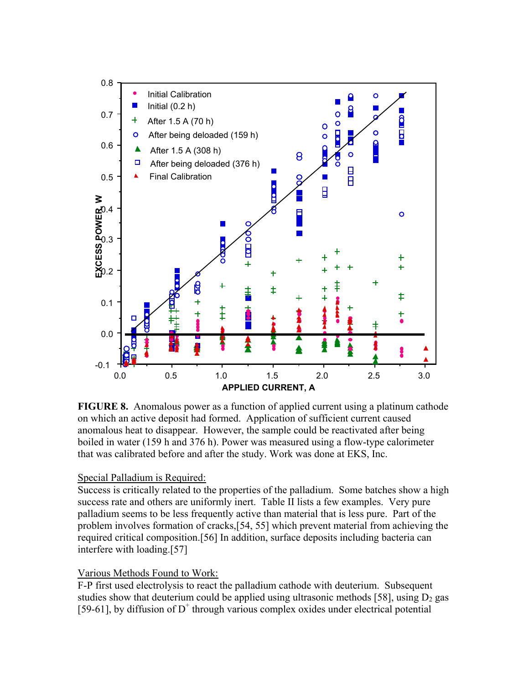

**FIGURE 8.** Anomalous power as a function of applied current using a platinum cathode on which an active deposit had formed. Application of sufficient current caused anomalous heat to disappear. However, the sample could be reactivated after being boiled in water (159 h and 376 h). Power was measured using a flow-type calorimeter that was calibrated before and after the study. Work was done at EKS, Inc.

#### Special Palladium is Required:

Success is critically related to the properties of the palladium. Some batches show a high success rate and others are uniformly inert. Table II lists a few examples. Very pure palladium seems to be less frequently active than material that is less pure. Part of the problem involves formation of cracks,[54, 55] which prevent material from achieving the required critical composition.[56] In addition, surface deposits including bacteria can interfere with loading.[57]

#### Various Methods Found to Work:

F-P first used electrolysis to react the palladium cathode with deuterium. Subsequent studies show that deuterium could be applied using ultrasonic methods [58], using  $D_2$  gas [59-61], by diffusion of  $D^+$  through various complex oxides under electrical potential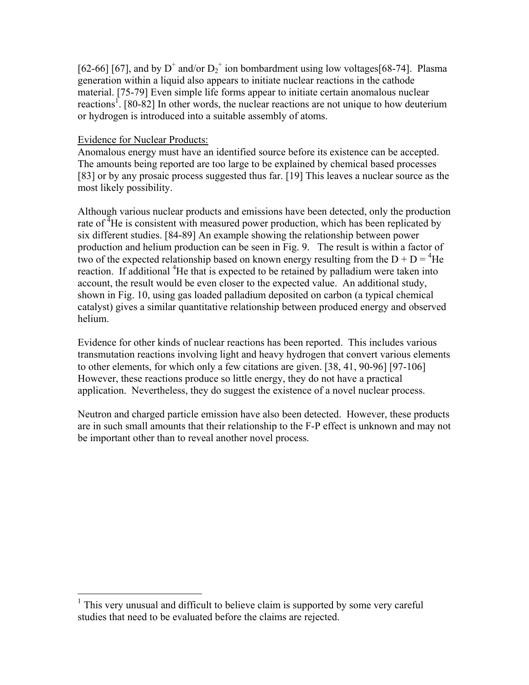[62-66] [67], and by  $D^+$  and/or  $D_2^+$  ion bombardment using low voltages[68-74]. Plasma generation within a liquid also appears to initiate nuclear reactions in the cathode material. [75-79] Even simple life forms appear to initiate certain anomalous nuclear reactions<sup>1</sup>. [80-82] In other words, the nuclear reactions are not unique to how deuterium or hydrogen is introduced into a suitable assembly of atoms.

#### Evidence for Nuclear Products:

 $\overline{a}$ 

Anomalous energy must have an identified source before its existence can be accepted. The amounts being reported are too large to be explained by chemical based processes [83] or by any prosaic process suggested thus far. [19] This leaves a nuclear source as the most likely possibility.

Although various nuclear products and emissions have been detected, only the production rate of  ${}^{4}$ He is consistent with measured power production, which has been replicated by six different studies. [84-89] An example showing the relationship between power production and helium production can be seen in Fig. 9. The result is within a factor of two of the expected relationship based on known energy resulting from the  $D + D = {}^{4}He$ reaction. If additional <sup>4</sup>He that is expected to be retained by palladium were taken into account, the result would be even closer to the expected value. An additional study, shown in Fig. 10, using gas loaded palladium deposited on carbon (a typical chemical catalyst) gives a similar quantitative relationship between produced energy and observed helium.

Evidence for other kinds of nuclear reactions has been reported. This includes various transmutation reactions involving light and heavy hydrogen that convert various elements to other elements, for which only a few citations are given. [38, 41, 90-96] [97-106] However, these reactions produce so little energy, they do not have a practical application. Nevertheless, they do suggest the existence of a novel nuclear process.

Neutron and charged particle emission have also been detected. However, these products are in such small amounts that their relationship to the F-P effect is unknown and may not be important other than to reveal another novel process.

<sup>&</sup>lt;sup>1</sup> This very unusual and difficult to believe claim is supported by some very careful studies that need to be evaluated before the claims are rejected.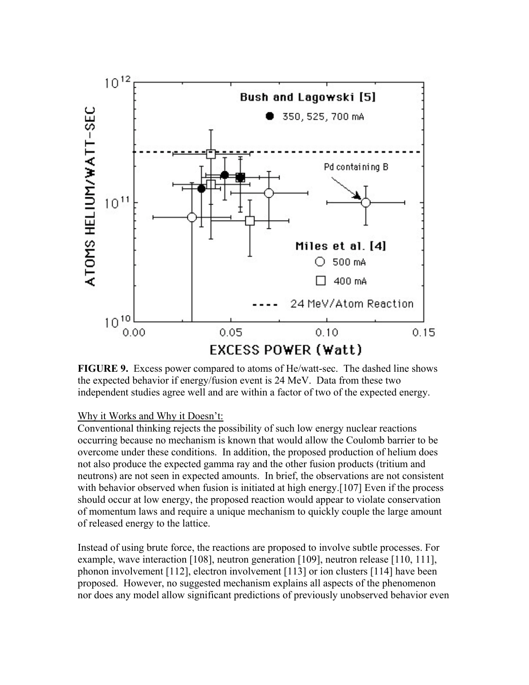

**FIGURE 9.** Excess power compared to atoms of He/watt-sec. The dashed line shows the expected behavior if energy/fusion event is 24 MeV. Data from these two independent studies agree well and are within a factor of two of the expected energy.

## Why it Works and Why it Doesn't:

Conventional thinking rejects the possibility of such low energy nuclear reactions occurring because no mechanism is known that would allow the Coulomb barrier to be overcome under these conditions. In addition, the proposed production of helium does not also produce the expected gamma ray and the other fusion products (tritium and neutrons) are not seen in expected amounts. In brief, the observations are not consistent with behavior observed when fusion is initiated at high energy.[107] Even if the process should occur at low energy, the proposed reaction would appear to violate conservation of momentum laws and require a unique mechanism to quickly couple the large amount of released energy to the lattice.

Instead of using brute force, the reactions are proposed to involve subtle processes. For example, wave interaction [108], neutron generation [109], neutron release [110, 111], phonon involvement [112], electron involvement [113] or ion clusters [114] have been proposed. However, no suggested mechanism explains all aspects of the phenomenon nor does any model allow significant predictions of previously unobserved behavior even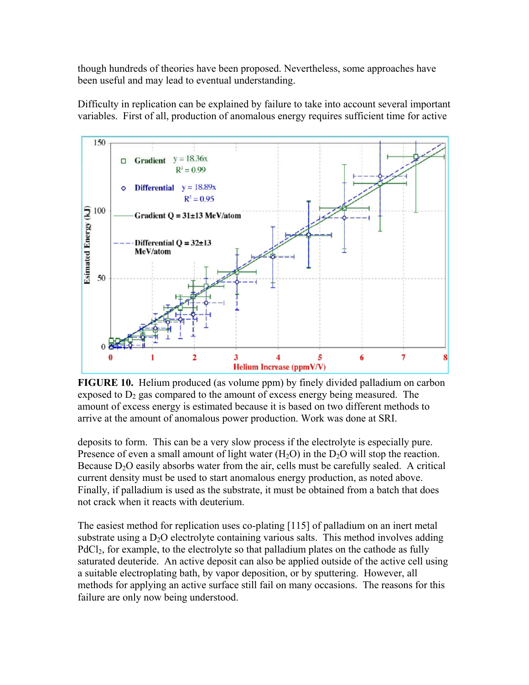though hundreds of theories have been proposed. Nevertheless, some approaches have been useful and may lead to eventual understanding.



Difficulty in replication can be explained by failure to take into account several important variables. First of all, production of anomalous energy requires sufficient time for active

**FIGURE 10.** Helium produced (as volume ppm) by finely divided palladium on carbon exposed to  $D_2$  gas compared to the amount of excess energy being measured. The amount of excess energy is estimated because it is based on two different methods to arrive at the amount of anomalous power production. Work was done at SRI.

deposits to form. This can be a very slow process if the electrolyte is especially pure. Presence of even a small amount of light water  $(H<sub>2</sub>O)$  in the D<sub>2</sub>O will stop the reaction. Because  $D_2O$  easily absorbs water from the air, cells must be carefully sealed. A critical current density must be used to start anomalous energy production, as noted above. Finally, if palladium is used as the substrate, it must be obtained from a batch that does not crack when it reacts with deuterium.

The easiest method for replication uses co-plating [115] of palladium on an inert metal substrate using a  $D_2O$  electrolyte containing various salts. This method involves adding PdCl<sub>2</sub>, for example, to the electrolyte so that palladium plates on the cathode as fully saturated deuteride. An active deposit can also be applied outside of the active cell using a suitable electroplating bath, by vapor deposition, or by sputtering. However, all methods for applying an active surface still fail on many occasions. The reasons for this failure are only now being understood.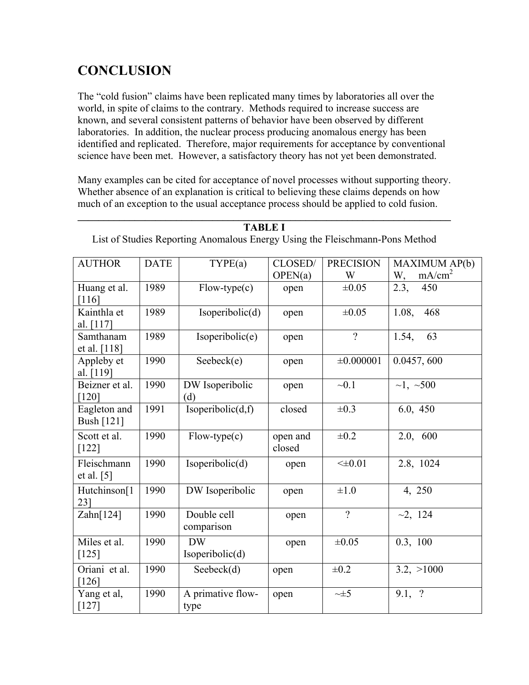# **CONCLUSION**

The "cold fusion" claims have been replicated many times by laboratories all over the world, in spite of claims to the contrary. Methods required to increase success are known, and several consistent patterns of behavior have been observed by different laboratories. In addition, the nuclear process producing anomalous energy has been identified and replicated. Therefore, major requirements for acceptance by conventional science have been met. However, a satisfactory theory has not yet been demonstrated.

Many examples can be cited for acceptance of novel processes without supporting theory. Whether absence of an explanation is critical to believing these claims depends on how much of an exception to the usual acceptance process should be applied to cold fusion.

| <b>AUTHOR</b>               | <b>DATE</b> | TYPE(a)                      | CLOSED/            | <b>PRECISION</b> | MAXIMUM AP(b)            |
|-----------------------------|-------------|------------------------------|--------------------|------------------|--------------------------|
|                             |             |                              | OPEN(a)            | W                | mA/cm <sup>2</sup><br>W, |
| Huang et al.<br>$[116]$     | 1989        | $Flow-type(c)$               | open               | $\pm 0.05$       | 2.3,<br>450              |
| Kainthla et<br>al. [117]    | 1989        | Isoperibolic(d)              | open               | $\pm 0.05$       | 1.08,<br>468             |
| Samthanam<br>et al. [118]   | 1989        | Isoperibolic(e)              | open               | $\gamma$         | 1.54,<br>63              |
| Appleby et<br>al. [119]     | 1990        | Seebeck(e)                   | open               | $\pm 0.000001$   | 0.0457, 600              |
| Beizner et al.<br>[120]     | 1990        | DW Isoperibolic<br>(d)       | open               | $-0.1$           | $\sim$ 1, $\sim$ 500     |
| Eagleton and<br>Bush [121]  | 1991        | Isoperibolic $(d,f)$         | closed             | $\pm 0.3$        | 6.0, 450                 |
| Scott et al.<br>$[122]$     | 1990        | $Flow-type(c)$               | open and<br>closed | $\pm 0.2$        | 2.0, 600                 |
| Fleischmann<br>et al. $[5]$ | 1990        | Isoperibolic(d)              | open               | $< \pm 0.01$     | 2.8, 1024                |
| Hutchinson[1<br>231         | 1990        | DW Isoperibolic              | open               | $\pm 1.0$        | 4, 250                   |
| Zahn[124]                   | 1990        | Double cell<br>comparison    | open               | $\gamma$         | ~2,~124                  |
| Miles et al.<br>$[125]$     | 1990        | <b>DW</b><br>Isoperibolic(d) | open               | $\pm 0.05$       | 0.3, 100                 |
| Oriani et al.<br>$[126]$    | 1990        | Seebeck(d)                   | open               | $\pm 0.2$        | 3.2, >1000               |
| Yang et al,<br>$[127]$      | 1990        | A primative flow-<br>type    | open               | $\sim\pm 5$      | 9.1, ?                   |

 $\mathcal{L}_\mathcal{L} = \mathcal{L}_\mathcal{L} - \mathcal{L}_\mathcal{L}$ **TABLE I** List of Studies Reporting Anomalous Energy Using the Fleischmann-Pons Method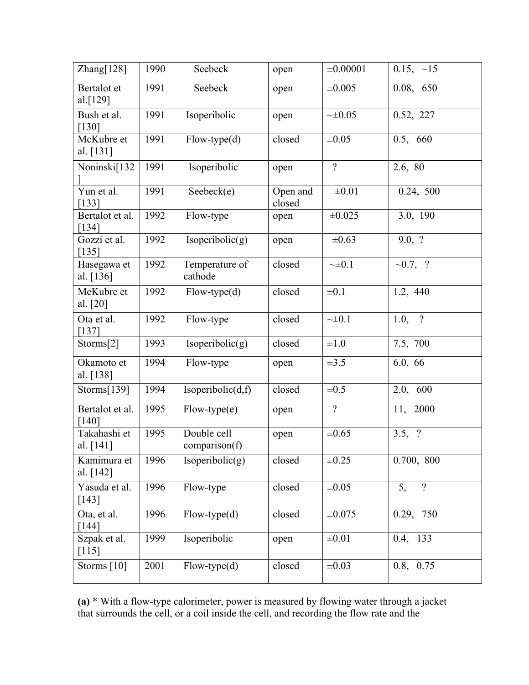| Zhang[128]                 | 1990 | Seebeck                      | open               | ±0.00001       | $0.15, -15$            |
|----------------------------|------|------------------------------|--------------------|----------------|------------------------|
| Bertalot et<br>al.[129]    | 1991 | Seebeck                      | open               | ±0.005         | 0.08, 650              |
| Bush et al.<br>$[130]$     | 1991 | Isoperibolic                 | open               | ~10.05         | 0.52, 227              |
| McKubre et<br>al. [131]    | 1991 | $Flow-type(d)$               | closed             | $\pm 0.05$     | 0.5, 660               |
| Noninski[132               | 1991 | Isoperibolic                 | open               | $\overline{?}$ | 2.6, 80                |
| Yun et al.<br>[133]        | 1991 | Seebeck(e)                   | Open and<br>closed | $\pm 0.01$     | 0.24, 500              |
| Bertalot et al.<br>$[134]$ | 1992 | Flow-type                    | open               | $\pm 0.025$    | 3.0, 190               |
| Gozzi et al.<br>[135]      | 1992 | Isoperibolic(g)              | open               | $\pm 0.63$     | 9.0, ?                 |
| Hasegawa et<br>al. [136]   | 1992 | Temperature of<br>cathode    | closed             | $\sim\pm 0.1$  | $\sim 0.7, ?$          |
| McKubre et<br>al. [20]     | 1992 | $Flow-type(d)$               | closed             | $\pm 0.1$      | 1.2, 440               |
| Ota et al.<br>$[137]$      | 1992 | Flow-type                    | closed             | $\sim\pm 0.1$  | $\gamma$<br>1.0,       |
| Storms[2]                  | 1993 | Isoperibolic(g)              | closed             | $\pm 1.0$      | 7.5, 700               |
| Okamoto et<br>al. [138]    | 1994 | Flow-type                    | open               | $\pm 3.5$      | 6.0, 66                |
| Storms[139]                | 1994 | Isoperibolic(d,f)            | closed             | $\pm 0.5$      | 2.0, 600               |
| Bertalot et al.<br>$[140]$ | 1995 | $Flow-type(e)$               | open               | $\gamma$       | 11, 2000               |
| Takahashi et<br>al. [141]  | 1995 | Double cell<br>comparison(f) | open               | $\pm 0.65$     | 3.5,<br>$\overline{?}$ |
| Kamimura et<br>al. [142]   | 1996 | Isoperibolic(g)              | closed             | $\pm 0.25$     | 0.700, 800             |
| Yasuda et al.<br>[143]     | 1996 | Flow-type                    | closed             | $\pm 0.05$     | 5,<br>$\overline{?}$   |
| Ota, et al.<br>[144]       | 1996 | $Flow-type(d)$               | closed             | ±0.075         | 0.29, 750              |
| Szpak et al.<br>$[115]$    | 1999 | Isoperibolic                 | open               | $\pm 0.01$     | 0.4, 133               |
| Storms [10]                | 2001 | $Flow-type(d)$               | closed             | $\pm 0.03$     | 0.8, 0.75              |

**(a)** \* With a flow-type calorimeter, power is measured by flowing water through a jacket that surrounds the cell, or a coil inside the cell, and recording the flow rate and the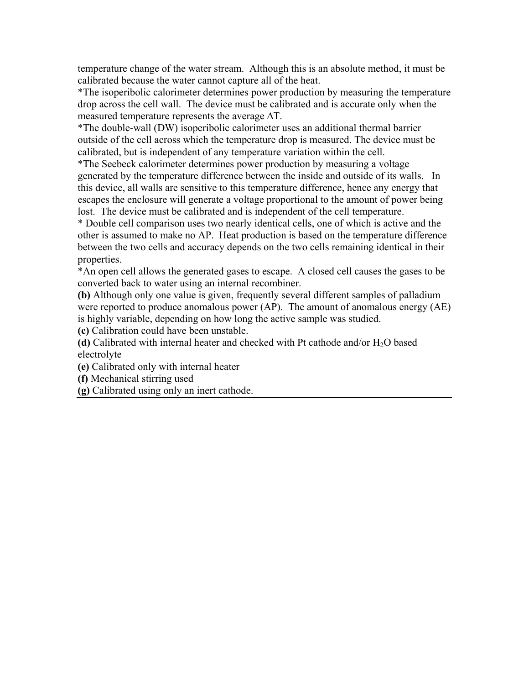temperature change of the water stream. Although this is an absolute method, it must be calibrated because the water cannot capture all of the heat.

\*The isoperibolic calorimeter determines power production by measuring the temperature drop across the cell wall. The device must be calibrated and is accurate only when the measured temperature represents the average ∆T.

\*The double-wall (DW) isoperibolic calorimeter uses an additional thermal barrier outside of the cell across which the temperature drop is measured. The device must be calibrated, but is independent of any temperature variation within the cell.

\*The Seebeck calorimeter determines power production by measuring a voltage generated by the temperature difference between the inside and outside of its walls. In this device, all walls are sensitive to this temperature difference, hence any energy that escapes the enclosure will generate a voltage proportional to the amount of power being lost. The device must be calibrated and is independent of the cell temperature.

\* Double cell comparison uses two nearly identical cells, one of which is active and the other is assumed to make no AP. Heat production is based on the temperature difference between the two cells and accuracy depends on the two cells remaining identical in their properties.

\*An open cell allows the generated gases to escape. A closed cell causes the gases to be converted back to water using an internal recombiner.

**(b)** Although only one value is given, frequently several different samples of palladium were reported to produce anomalous power (AP). The amount of anomalous energy (AE) is highly variable, depending on how long the active sample was studied.

**(c)** Calibration could have been unstable.

**(d)** Calibrated with internal heater and checked with Pt cathode and/or  $H_2O$  based electrolyte

**(e)** Calibrated only with internal heater

**(f)** Mechanical stirring used

**(g)** Calibrated using only an inert cathode.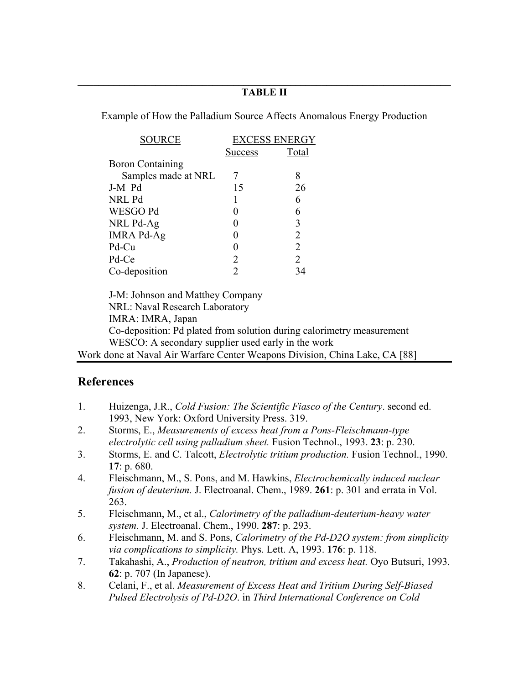### $\mathcal{L}_\mathcal{L} = \{ \mathcal{L}_\mathcal{L} = \{ \mathcal{L}_\mathcal{L} = \{ \mathcal{L}_\mathcal{L} = \{ \mathcal{L}_\mathcal{L} = \{ \mathcal{L}_\mathcal{L} = \{ \mathcal{L}_\mathcal{L} = \{ \mathcal{L}_\mathcal{L} = \{ \mathcal{L}_\mathcal{L} = \{ \mathcal{L}_\mathcal{L} = \{ \mathcal{L}_\mathcal{L} = \{ \mathcal{L}_\mathcal{L} = \{ \mathcal{L}_\mathcal{L} = \{ \mathcal{L}_\mathcal{L} = \{ \mathcal{L}_\mathcal{$ **TABLE II**

Example of How the Palladium Source Affects Anomalous Energy Production

| <b>SOURCE</b>           | <b>EXCESS ENERGY</b> |       |  |
|-------------------------|----------------------|-------|--|
|                         | <b>Success</b>       | Total |  |
| <b>Boron Containing</b> |                      |       |  |
| Samples made at NRL     |                      | 8     |  |
| J-M Pd                  | 15                   | 26    |  |
| NRL Pd                  |                      | 6     |  |
| WESGO Pd                |                      | 6     |  |
| NRL Pd-Ag               |                      | 3     |  |
| <b>IMRA Pd-Ag</b>       |                      | 2     |  |
| Pd-Cu                   |                      | 2     |  |
| Pd-Ce                   | 2                    | 2     |  |
| Co-deposition           |                      | 34    |  |

 J-M: Johnson and Matthey Company NRL: Naval Research Laboratory IMRA: IMRA, Japan Co-deposition: Pd plated from solution during calorimetry measurement WESCO: A secondary supplier used early in the work Work done at Naval Air Warfare Center Weapons Division, China Lake, CA [88]

# **References**

- 1. Huizenga, J.R., *Cold Fusion: The Scientific Fiasco of the Century*. second ed. 1993, New York: Oxford University Press. 319.
- 2. Storms, E., *Measurements of excess heat from a Pons-Fleischmann-type electrolytic cell using palladium sheet.* Fusion Technol., 1993. **23**: p. 230.
- 3. Storms, E. and C. Talcott, *Electrolytic tritium production.* Fusion Technol., 1990. **17**: p. 680.
- 4. Fleischmann, M., S. Pons, and M. Hawkins, *Electrochemically induced nuclear fusion of deuterium.* J. Electroanal. Chem., 1989. **261**: p. 301 and errata in Vol. 263.
- 5. Fleischmann, M., et al., *Calorimetry of the palladium-deuterium-heavy water system.* J. Electroanal. Chem., 1990. **287**: p. 293.
- 6. Fleischmann, M. and S. Pons, *Calorimetry of the Pd-D2O system: from simplicity via complications to simplicity.* Phys. Lett. A, 1993. **176**: p. 118.
- 7. Takahashi, A., *Production of neutron, tritium and excess heat.* Oyo Butsuri, 1993. **62**: p. 707 (In Japanese).
- 8. Celani, F., et al. *Measurement of Excess Heat and Tritium During Self-Biased Pulsed Electrolysis of Pd-D2O*. in *Third International Conference on Cold*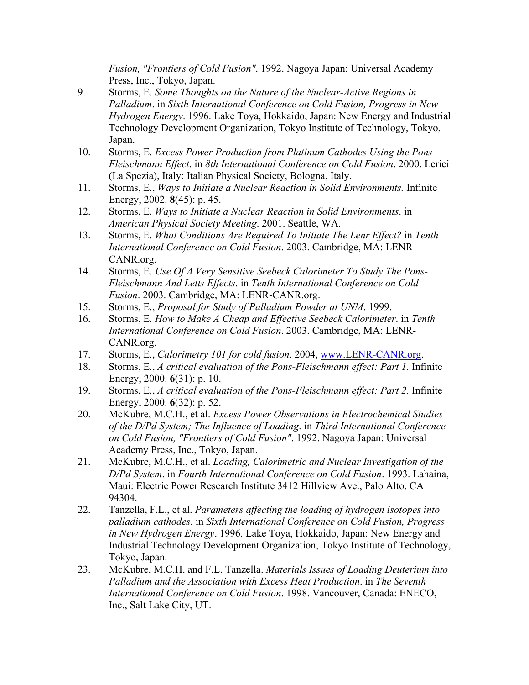*Fusion, "Frontiers of Cold Fusion"*. 1992. Nagoya Japan: Universal Academy Press, Inc., Tokyo, Japan.

- 9. Storms, E. *Some Thoughts on the Nature of the Nuclear-Active Regions in Palladium*. in *Sixth International Conference on Cold Fusion, Progress in New Hydrogen Energy*. 1996. Lake Toya, Hokkaido, Japan: New Energy and Industrial Technology Development Organization, Tokyo Institute of Technology, Tokyo, Japan.
- 10. Storms, E. *Excess Power Production from Platinum Cathodes Using the Pons-Fleischmann Effect*. in *8th International Conference on Cold Fusion*. 2000. Lerici (La Spezia), Italy: Italian Physical Society, Bologna, Italy.
- 11. Storms, E., *Ways to Initiate a Nuclear Reaction in Solid Environments.* Infinite Energy, 2002. **8**(45): p. 45.
- 12. Storms, E. *Ways to Initiate a Nuclear Reaction in Solid Environments*. in *American Physical Society Meeting*. 2001. Seattle, WA.
- 13. Storms, E. *What Conditions Are Required To Initiate The Lenr Effect?* in *Tenth International Conference on Cold Fusion*. 2003. Cambridge, MA: LENR-CANR.org.
- 14. Storms, E. *Use Of A Very Sensitive Seebeck Calorimeter To Study The Pons-Fleischmann And Letts Effects*. in *Tenth International Conference on Cold Fusion*. 2003. Cambridge, MA: LENR-CANR.org.
- 15. Storms, E., *Proposal for Study of Palladium Powder at UNM*. 1999.
- 16. Storms, E. *How to Make A Cheap and Effective Seebeck Calorimeter*. in *Tenth International Conference on Cold Fusion*. 2003. Cambridge, MA: LENR-CANR.org.
- 17. Storms, E., *Calorimetry 101 for cold fusion*. 2004, www.LENR-CANR.org.
- 18. Storms, E., *A critical evaluation of the Pons-Fleischmann effect: Part 1.* Infinite Energy, 2000. **6**(31): p. 10.
- 19. Storms, E., *A critical evaluation of the Pons-Fleischmann effect: Part 2.* Infinite Energy, 2000. **6**(32): p. 52.
- 20. McKubre, M.C.H., et al. *Excess Power Observations in Electrochemical Studies of the D/Pd System; The Influence of Loading*. in *Third International Conference on Cold Fusion, "Frontiers of Cold Fusion"*. 1992. Nagoya Japan: Universal Academy Press, Inc., Tokyo, Japan.
- 21. McKubre, M.C.H., et al. *Loading, Calorimetric and Nuclear Investigation of the D/Pd System*. in *Fourth International Conference on Cold Fusion*. 1993. Lahaina, Maui: Electric Power Research Institute 3412 Hillview Ave., Palo Alto, CA 94304.
- 22. Tanzella, F.L., et al. *Parameters affecting the loading of hydrogen isotopes into palladium cathodes*. in *Sixth International Conference on Cold Fusion, Progress in New Hydrogen Energy*. 1996. Lake Toya, Hokkaido, Japan: New Energy and Industrial Technology Development Organization, Tokyo Institute of Technology, Tokyo, Japan.
- 23. McKubre, M.C.H. and F.L. Tanzella. *Materials Issues of Loading Deuterium into Palladium and the Association with Excess Heat Production*. in *The Seventh International Conference on Cold Fusion*. 1998. Vancouver, Canada: ENECO, Inc., Salt Lake City, UT.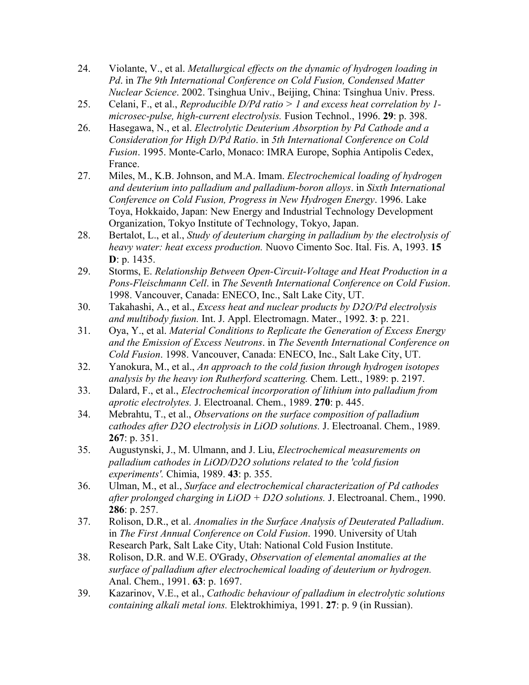- 24. Violante, V., et al. *Metallurgical effects on the dynamic of hydrogen loading in Pd*. in *The 9th International Conference on Cold Fusion, Condensed Matter Nuclear Science*. 2002. Tsinghua Univ., Beijing, China: Tsinghua Univ. Press.
- 25. Celani, F., et al., *Reproducible D/Pd ratio > 1 and excess heat correlation by 1 microsec-pulse, high-current electrolysis.* Fusion Technol., 1996. **29**: p. 398.
- 26. Hasegawa, N., et al. *Electrolytic Deuterium Absorption by Pd Cathode and a Consideration for High D/Pd Ratio*. in *5th International Conference on Cold Fusion*. 1995. Monte-Carlo, Monaco: IMRA Europe, Sophia Antipolis Cedex, France.
- 27. Miles, M., K.B. Johnson, and M.A. Imam. *Electrochemical loading of hydrogen and deuterium into palladium and palladium-boron alloys*. in *Sixth International Conference on Cold Fusion, Progress in New Hydrogen Energy*. 1996. Lake Toya, Hokkaido, Japan: New Energy and Industrial Technology Development Organization, Tokyo Institute of Technology, Tokyo, Japan.
- 28. Bertalot, L., et al., *Study of deuterium charging in palladium by the electrolysis of heavy water: heat excess production.* Nuovo Cimento Soc. Ital. Fis. A, 1993. **15 D**: p. 1435.
- 29. Storms, E. *Relationship Between Open-Circuit-Voltage and Heat Production in a Pons-Fleischmann Cell*. in *The Seventh International Conference on Cold Fusion*. 1998. Vancouver, Canada: ENECO, Inc., Salt Lake City, UT.
- 30. Takahashi, A., et al., *Excess heat and nuclear products by D2O/Pd electrolysis and multibody fusion.* Int. J. Appl. Electromagn. Mater., 1992. **3**: p. 221.
- 31. Oya, Y., et al. *Material Conditions to Replicate the Generation of Excess Energy and the Emission of Excess Neutrons*. in *The Seventh International Conference on Cold Fusion*. 1998. Vancouver, Canada: ENECO, Inc., Salt Lake City, UT.
- 32. Yanokura, M., et al., *An approach to the cold fusion through hydrogen isotopes analysis by the heavy ion Rutherford scattering.* Chem. Lett., 1989: p. 2197.
- 33. Dalard, F., et al., *Electrochemical incorporation of lithium into palladium from aprotic electrolytes.* J. Electroanal. Chem., 1989. **270**: p. 445.
- 34. Mebrahtu, T., et al., *Observations on the surface composition of palladium cathodes after D2O electrolysis in LiOD solutions.* J. Electroanal. Chem., 1989. **267**: p. 351.
- 35. Augustynski, J., M. Ulmann, and J. Liu, *Electrochemical measurements on palladium cathodes in LiOD/D2O solutions related to the 'cold fusion experiments'.* Chimia, 1989. **43**: p. 355.
- 36. Ulman, M., et al., *Surface and electrochemical characterization of Pd cathodes after prolonged charging in LiOD + D2O solutions.* J. Electroanal. Chem., 1990. **286**: p. 257.
- 37. Rolison, D.R., et al. *Anomalies in the Surface Analysis of Deuterated Palladium*. in *The First Annual Conference on Cold Fusion*. 1990. University of Utah Research Park, Salt Lake City, Utah: National Cold Fusion Institute.
- 38. Rolison, D.R. and W.E. O'Grady, *Observation of elemental anomalies at the surface of palladium after electrochemical loading of deuterium or hydrogen.* Anal. Chem., 1991. **63**: p. 1697.
- 39. Kazarinov, V.E., et al., *Cathodic behaviour of palladium in electrolytic solutions containing alkali metal ions.* Elektrokhimiya, 1991. **27**: p. 9 (in Russian).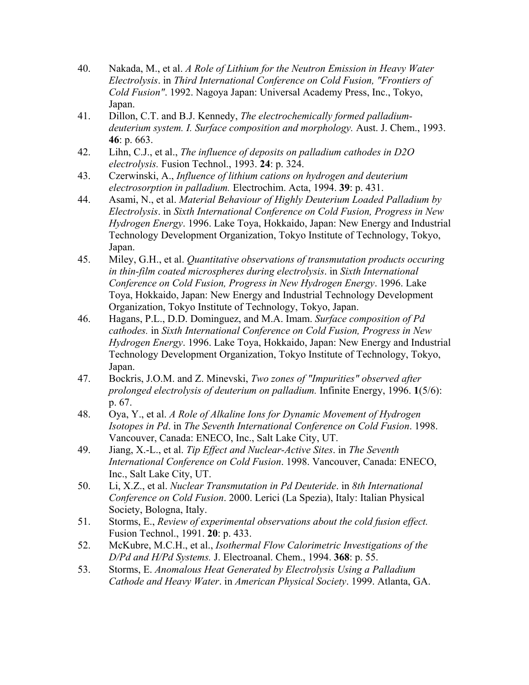- 40. Nakada, M., et al. *A Role of Lithium for the Neutron Emission in Heavy Water Electrolysis*. in *Third International Conference on Cold Fusion, "Frontiers of Cold Fusion"*. 1992. Nagoya Japan: Universal Academy Press, Inc., Tokyo, Japan.
- 41. Dillon, C.T. and B.J. Kennedy, *The electrochemically formed palladiumdeuterium system. I. Surface composition and morphology.* Aust. J. Chem., 1993. **46**: p. 663.
- 42. Lihn, C.J., et al., *The influence of deposits on palladium cathodes in D2O electrolysis.* Fusion Technol., 1993. **24**: p. 324.
- 43. Czerwinski, A., *Influence of lithium cations on hydrogen and deuterium electrosorption in palladium.* Electrochim. Acta, 1994. **39**: p. 431.
- 44. Asami, N., et al. *Material Behaviour of Highly Deuterium Loaded Palladium by Electrolysis*. in *Sixth International Conference on Cold Fusion, Progress in New Hydrogen Energy*. 1996. Lake Toya, Hokkaido, Japan: New Energy and Industrial Technology Development Organization, Tokyo Institute of Technology, Tokyo, Japan.
- 45. Miley, G.H., et al. *Quantitative observations of transmutation products occuring in thin-film coated microspheres during electrolysis*. in *Sixth International Conference on Cold Fusion, Progress in New Hydrogen Energy*. 1996. Lake Toya, Hokkaido, Japan: New Energy and Industrial Technology Development Organization, Tokyo Institute of Technology, Tokyo, Japan.
- 46. Hagans, P.L., D.D. Dominguez, and M.A. Imam. *Surface composition of Pd cathodes.* in *Sixth International Conference on Cold Fusion, Progress in New Hydrogen Energy*. 1996. Lake Toya, Hokkaido, Japan: New Energy and Industrial Technology Development Organization, Tokyo Institute of Technology, Tokyo, Japan.
- 47. Bockris, J.O.M. and Z. Minevski, *Two zones of "Impurities" observed after prolonged electrolysis of deuterium on palladium.* Infinite Energy, 1996. **1**(5/6): p. 67.
- 48. Oya, Y., et al. *A Role of Alkaline Ions for Dynamic Movement of Hydrogen Isotopes in Pd*. in *The Seventh International Conference on Cold Fusion*. 1998. Vancouver, Canada: ENECO, Inc., Salt Lake City, UT.
- 49. Jiang, X.-L., et al. *Tip Effect and Nuclear-Active Sites*. in *The Seventh International Conference on Cold Fusion*. 1998. Vancouver, Canada: ENECO, Inc., Salt Lake City, UT.
- 50. Li, X.Z., et al. *Nuclear Transmutation in Pd Deuteride*. in *8th International Conference on Cold Fusion*. 2000. Lerici (La Spezia), Italy: Italian Physical Society, Bologna, Italy.
- 51. Storms, E., *Review of experimental observations about the cold fusion effect.* Fusion Technol., 1991. **20**: p. 433.
- 52. McKubre, M.C.H., et al., *Isothermal Flow Calorimetric Investigations of the D/Pd and H/Pd Systems.* J. Electroanal. Chem., 1994. **368**: p. 55.
- 53. Storms, E. *Anomalous Heat Generated by Electrolysis Using a Palladium Cathode and Heavy Water*. in *American Physical Society*. 1999. Atlanta, GA.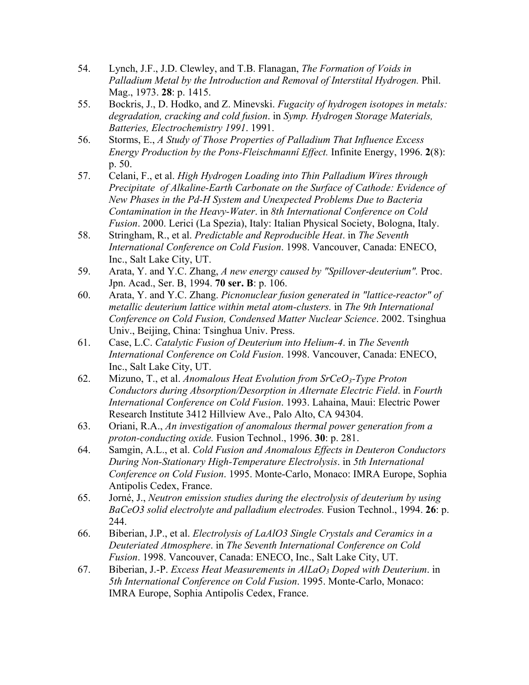- 54. Lynch, J.F., J.D. Clewley, and T.B. Flanagan, *The Formation of Voids in Palladium Metal by the Introduction and Removal of Interstital Hydrogen.* Phil. Mag., 1973. **28**: p. 1415.
- 55. Bockris, J., D. Hodko, and Z. Minevski. *Fugacity of hydrogen isotopes in metals: degradation, cracking and cold fusion*. in *Symp. Hydrogen Storage Materials, Batteries, Electrochemistry 1991*. 1991.
- 56. Storms, E., *A Study of Those Properties of Palladium That Influence Excess Energy Production by the Pons-Fleischmannî Effect.* Infinite Energy, 1996. **2**(8): p. 50.
- 57. Celani, F., et al. *High Hydrogen Loading into Thin Palladium Wires through Precipitate of Alkaline-Earth Carbonate on the Surface of Cathode: Evidence of New Phases in the Pd-H System and Unexpected Problems Due to Bacteria Contamination in the Heavy-Water*. in *8th International Conference on Cold Fusion*. 2000. Lerici (La Spezia), Italy: Italian Physical Society, Bologna, Italy.
- 58. Stringham, R., et al. *Predictable and Reproducible Heat*. in *The Seventh International Conference on Cold Fusion*. 1998. Vancouver, Canada: ENECO, Inc., Salt Lake City, UT.
- 59. Arata, Y. and Y.C. Zhang, *A new energy caused by "Spillover-deuterium".* Proc. Jpn. Acad., Ser. B, 1994. **70 ser. B**: p. 106.
- 60. Arata, Y. and Y.C. Zhang. *Picnonuclear fusion generated in "lattice-reactor" of metallic deuterium lattice within metal atom-clusters.* in *The 9th International Conference on Cold Fusion, Condensed Matter Nuclear Science*. 2002. Tsinghua Univ., Beijing, China: Tsinghua Univ. Press.
- 61. Case, L.C. *Catalytic Fusion of Deuterium into Helium-4*. in *The Seventh International Conference on Cold Fusion*. 1998. Vancouver, Canada: ENECO, Inc., Salt Lake City, UT.
- 62. Mizuno, T., et al. *Anomalous Heat Evolution from SrCeO3-Type Proton Conductors during Absorption/Desorption in Alternate Electric Field*. in *Fourth International Conference on Cold Fusion*. 1993. Lahaina, Maui: Electric Power Research Institute 3412 Hillview Ave., Palo Alto, CA 94304.
- 63. Oriani, R.A., *An investigation of anomalous thermal power generation from a proton-conducting oxide.* Fusion Technol., 1996. **30**: p. 281.
- 64. Samgin, A.L., et al. *Cold Fusion and Anomalous Effects in Deuteron Conductors During Non-Stationary High-Temperature Electrolysis*. in *5th International Conference on Cold Fusion*. 1995. Monte-Carlo, Monaco: IMRA Europe, Sophia Antipolis Cedex, France.
- 65. Jorné, J., *Neutron emission studies during the electrolysis of deuterium by using BaCeO3 solid electrolyte and palladium electrodes.* Fusion Technol., 1994. **26**: p. 244.
- 66. Biberian, J.P., et al. *Electrolysis of LaAlO3 Single Crystals and Ceramics in a Deuteriated Atmosphere*. in *The Seventh International Conference on Cold Fusion*. 1998. Vancouver, Canada: ENECO, Inc., Salt Lake City, UT.
- 67. Biberian, J.-P. *Excess Heat Measurements in AlLaO3 Doped with Deuterium*. in *5th International Conference on Cold Fusion*. 1995. Monte-Carlo, Monaco: IMRA Europe, Sophia Antipolis Cedex, France.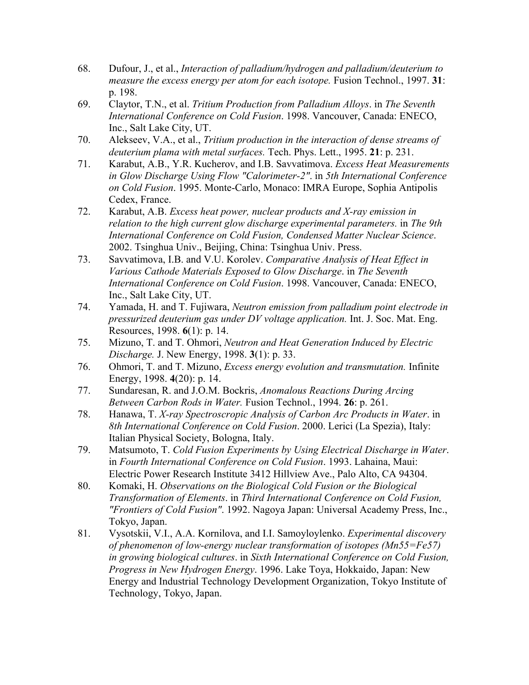- 68. Dufour, J., et al., *Interaction of palladium/hydrogen and palladium/deuterium to measure the excess energy per atom for each isotope.* Fusion Technol., 1997. **31**: p. 198.
- 69. Claytor, T.N., et al. *Tritium Production from Palladium Alloys*. in *The Seventh International Conference on Cold Fusion*. 1998. Vancouver, Canada: ENECO, Inc., Salt Lake City, UT.
- 70. Alekseev, V.A., et al., *Tritium production in the interaction of dense streams of deuterium plama with metal surfaces.* Tech. Phys. Lett., 1995. **21**: p. 231.
- 71. Karabut, A.B., Y.R. Kucherov, and I.B. Savvatimova. *Excess Heat Measurements in Glow Discharge Using Flow "Calorimeter-2"*. in *5th International Conference on Cold Fusion*. 1995. Monte-Carlo, Monaco: IMRA Europe, Sophia Antipolis Cedex, France.
- 72. Karabut, A.B. *Excess heat power, nuclear products and X-ray emission in relation to the high current glow discharge experimental parameters.* in *The 9th International Conference on Cold Fusion, Condensed Matter Nuclear Science*. 2002. Tsinghua Univ., Beijing, China: Tsinghua Univ. Press.
- 73. Savvatimova, I.B. and V.U. Korolev. *Comparative Analysis of Heat Effect in Various Cathode Materials Exposed to Glow Discharge*. in *The Seventh International Conference on Cold Fusion*. 1998. Vancouver, Canada: ENECO, Inc., Salt Lake City, UT.
- 74. Yamada, H. and T. Fujiwara, *Neutron emission from palladium point electrode in pressurized deuterium gas under DV voltage application.* Int. J. Soc. Mat. Eng. Resources, 1998. **6**(1): p. 14.
- 75. Mizuno, T. and T. Ohmori, *Neutron and Heat Generation Induced by Electric Discharge.* J. New Energy, 1998. **3**(1): p. 33.
- 76. Ohmori, T. and T. Mizuno, *Excess energy evolution and transmutation.* Infinite Energy, 1998. **4**(20): p. 14.
- 77. Sundaresan, R. and J.O.M. Bockris, *Anomalous Reactions During Arcing Between Carbon Rods in Water.* Fusion Technol., 1994. **26**: p. 261.
- 78. Hanawa, T. *X-ray Spectroscropic Analysis of Carbon Arc Products in Water*. in *8th International Conference on Cold Fusion*. 2000. Lerici (La Spezia), Italy: Italian Physical Society, Bologna, Italy.
- 79. Matsumoto, T. *Cold Fusion Experiments by Using Electrical Discharge in Water*. in *Fourth International Conference on Cold Fusion*. 1993. Lahaina, Maui: Electric Power Research Institute 3412 Hillview Ave., Palo Alto, CA 94304.
- 80. Komaki, H. *Observations on the Biological Cold Fusion or the Biological Transformation of Elements*. in *Third International Conference on Cold Fusion, "Frontiers of Cold Fusion"*. 1992. Nagoya Japan: Universal Academy Press, Inc., Tokyo, Japan.
- 81. Vysotskii, V.I., A.A. Kornilova, and I.I. Samoyloylenko. *Experimental discovery of phenomenon of low-energy nuclear transformation of isotopes (Mn55=Fe57) in growing biological cultures*. in *Sixth International Conference on Cold Fusion, Progress in New Hydrogen Energy*. 1996. Lake Toya, Hokkaido, Japan: New Energy and Industrial Technology Development Organization, Tokyo Institute of Technology, Tokyo, Japan.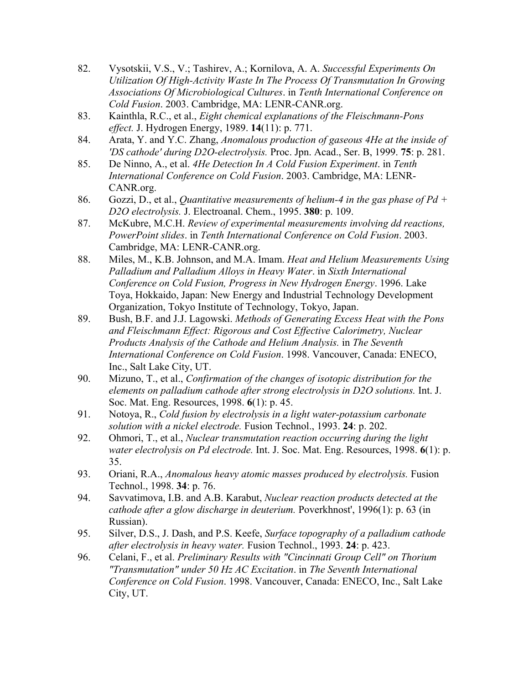- 82. Vysotskii, V.S., V.; Tashirev, A.; Kornilova, A. A. *Successful Experiments On Utilization Of High-Activity Waste In The Process Of Transmutation In Growing Associations Of Microbiological Cultures*. in *Tenth International Conference on Cold Fusion*. 2003. Cambridge, MA: LENR-CANR.org.
- 83. Kainthla, R.C., et al., *Eight chemical explanations of the Fleischmann-Pons effect.* J. Hydrogen Energy, 1989. **14**(11): p. 771.
- 84. Arata, Y. and Y.C. Zhang, *Anomalous production of gaseous 4He at the inside of 'DS cathode' during D2O-electrolysis.* Proc. Jpn. Acad., Ser. B, 1999. **75**: p. 281.
- 85. De Ninno, A., et al. *4He Detection In A Cold Fusion Experiment*. in *Tenth International Conference on Cold Fusion*. 2003. Cambridge, MA: LENR-CANR.org.
- 86. Gozzi, D., et al., *Quantitative measurements of helium-4 in the gas phase of Pd + D2O electrolysis.* J. Electroanal. Chem., 1995. **380**: p. 109.
- 87. McKubre, M.C.H. *Review of experimental measurements involving dd reactions, PowerPoint slides*. in *Tenth International Conference on Cold Fusion*. 2003. Cambridge, MA: LENR-CANR.org.
- 88. Miles, M., K.B. Johnson, and M.A. Imam. *Heat and Helium Measurements Using Palladium and Palladium Alloys in Heavy Water*. in *Sixth International Conference on Cold Fusion, Progress in New Hydrogen Energy*. 1996. Lake Toya, Hokkaido, Japan: New Energy and Industrial Technology Development Organization, Tokyo Institute of Technology, Tokyo, Japan.
- 89. Bush, B.F. and J.J. Lagowski. *Methods of Generating Excess Heat with the Pons and Fleischmann Effect: Rigorous and Cost Effective Calorimetry, Nuclear Products Analysis of the Cathode and Helium Analysis.* in *The Seventh International Conference on Cold Fusion*. 1998. Vancouver, Canada: ENECO, Inc., Salt Lake City, UT.
- 90. Mizuno, T., et al., *Confirmation of the changes of isotopic distribution for the elements on palladium cathode after strong electrolysis in D2O solutions.* Int. J. Soc. Mat. Eng. Resources, 1998. **6**(1): p. 45.
- 91. Notoya, R., *Cold fusion by electrolysis in a light water-potassium carbonate solution with a nickel electrode.* Fusion Technol., 1993. **24**: p. 202.
- 92. Ohmori, T., et al., *Nuclear transmutation reaction occurring during the light water electrolysis on Pd electrode.* Int. J. Soc. Mat. Eng. Resources, 1998. **6**(1): p. 35.
- 93. Oriani, R.A., *Anomalous heavy atomic masses produced by electrolysis.* Fusion Technol., 1998. **34**: p. 76.
- 94. Savvatimova, I.B. and A.B. Karabut, *Nuclear reaction products detected at the cathode after a glow discharge in deuterium.* Poverkhnost', 1996(1): p. 63 (in Russian).
- 95. Silver, D.S., J. Dash, and P.S. Keefe, *Surface topography of a palladium cathode after electrolysis in heavy water.* Fusion Technol., 1993. **24**: p. 423.
- 96. Celani, F., et al. *Preliminary Results with "Cincinnati Group Cell" on Thorium "Transmutation" under 50 Hz AC Excitation*. in *The Seventh International Conference on Cold Fusion*. 1998. Vancouver, Canada: ENECO, Inc., Salt Lake City, UT.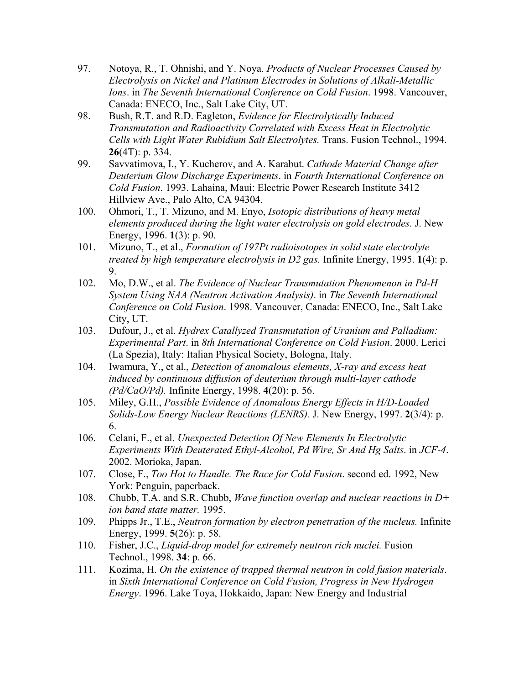- 97. Notoya, R., T. Ohnishi, and Y. Noya. *Products of Nuclear Processes Caused by Electrolysis on Nickel and Platinum Electrodes in Solutions of Alkali-Metallic Ions*. in *The Seventh International Conference on Cold Fusion*. 1998. Vancouver, Canada: ENECO, Inc., Salt Lake City, UT.
- 98. Bush, R.T. and R.D. Eagleton, *Evidence for Electrolytically Induced Transmutation and Radioactivity Correlated with Excess Heat in Electrolytic Cells with Light Water Rubidium Salt Electrolytes.* Trans. Fusion Technol., 1994. **26**(4T): p. 334.
- 99. Savvatimova, I., Y. Kucherov, and A. Karabut. *Cathode Material Change after Deuterium Glow Discharge Experiments*. in *Fourth International Conference on Cold Fusion*. 1993. Lahaina, Maui: Electric Power Research Institute 3412 Hillview Ave., Palo Alto, CA 94304.
- 100. Ohmori, T., T. Mizuno, and M. Enyo, *Isotopic distributions of heavy metal elements produced during the light water electrolysis on gold electrodes.* J. New Energy, 1996. **1**(3): p. 90.
- 101. Mizuno, T., et al., *Formation of 197Pt radioisotopes in solid state electrolyte treated by high temperature electrolysis in D2 gas.* Infinite Energy, 1995. **1**(4): p. 9.
- 102. Mo, D.W., et al. *The Evidence of Nuclear Transmutation Phenomenon in Pd-H System Using NAA (Neutron Activation Analysis)*. in *The Seventh International Conference on Cold Fusion*. 1998. Vancouver, Canada: ENECO, Inc., Salt Lake City, UT.
- 103. Dufour, J., et al. *Hydrex Catallyzed Transmutation of Uranium and Palladium: Experimental Part*. in *8th International Conference on Cold Fusion*. 2000. Lerici (La Spezia), Italy: Italian Physical Society, Bologna, Italy.
- 104. Iwamura, Y., et al., *Detection of anomalous elements, X-ray and excess heat induced by continuous diffusion of deuterium through multi-layer cathode (Pd/CaO/Pd).* Infinite Energy, 1998. **4**(20): p. 56.
- 105. Miley, G.H., *Possible Evidence of Anomalous Energy Effects in H/D-Loaded Solids-Low Energy Nuclear Reactions (LENRS).* J. New Energy, 1997. **2**(3/4): p. 6.
- 106. Celani, F., et al. *Unexpected Detection Of New Elements In Electrolytic Experiments With Deuterated Ethyl-Alcohol, Pd Wire, Sr And Hg Salts*. in *JCF-4*. 2002. Morioka, Japan.
- 107. Close, F., *Too Hot to Handle. The Race for Cold Fusion*. second ed. 1992, New York: Penguin, paperback.
- 108. Chubb, T.A. and S.R. Chubb, *Wave function overlap and nuclear reactions in D+ ion band state matter.* 1995.
- 109. Phipps Jr., T.E., *Neutron formation by electron penetration of the nucleus.* Infinite Energy, 1999. **5**(26): p. 58.
- 110. Fisher, J.C., *Liquid-drop model for extremely neutron rich nuclei.* Fusion Technol., 1998. **34**: p. 66.
- 111. Kozima, H. *On the existence of trapped thermal neutron in cold fusion materials*. in *Sixth International Conference on Cold Fusion, Progress in New Hydrogen Energy*. 1996. Lake Toya, Hokkaido, Japan: New Energy and Industrial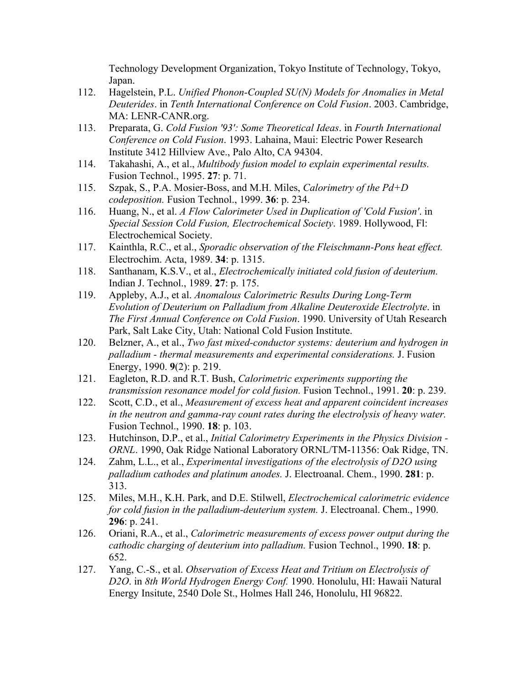Technology Development Organization, Tokyo Institute of Technology, Tokyo, Japan.

- 112. Hagelstein, P.L. *Unified Phonon-Coupled SU(N) Models for Anomalies in Metal Deuterides*. in *Tenth International Conference on Cold Fusion*. 2003. Cambridge, MA: LENR-CANR.org.
- 113. Preparata, G. *Cold Fusion '93': Some Theoretical Ideas*. in *Fourth International Conference on Cold Fusion*. 1993. Lahaina, Maui: Electric Power Research Institute 3412 Hillview Ave., Palo Alto, CA 94304.
- 114. Takahashi, A., et al., *Multibody fusion model to explain experimental results.* Fusion Technol., 1995. **27**: p. 71.
- 115. Szpak, S., P.A. Mosier-Boss, and M.H. Miles, *Calorimetry of the Pd+D codeposition.* Fusion Technol., 1999. **36**: p. 234.
- 116. Huang, N., et al. *A Flow Calorimeter Used in Duplication of 'Cold Fusion'*. in *Special Session Cold Fusion, Electrochemical Society*. 1989. Hollywood, Fl: Electrochemical Society.
- 117. Kainthla, R.C., et al., *Sporadic observation of the Fleischmann-Pons heat effect.* Electrochim. Acta, 1989. **34**: p. 1315.
- 118. Santhanam, K.S.V., et al., *Electrochemically initiated cold fusion of deuterium.* Indian J. Technol., 1989. **27**: p. 175.
- 119. Appleby, A.J., et al. *Anomalous Calorimetric Results During Long-Term Evolution of Deuterium on Palladium from Alkaline Deuteroxide Electrolyte*. in *The First Annual Conference on Cold Fusion*. 1990. University of Utah Research Park, Salt Lake City, Utah: National Cold Fusion Institute.
- 120. Belzner, A., et al., *Two fast mixed-conductor systems: deuterium and hydrogen in palladium - thermal measurements and experimental considerations.* J. Fusion Energy, 1990. **9**(2): p. 219.
- 121. Eagleton, R.D. and R.T. Bush, *Calorimetric experiments supporting the transmission resonance model for cold fusion.* Fusion Technol., 1991. **20**: p. 239.
- 122. Scott, C.D., et al., *Measurement of excess heat and apparent coincident increases in the neutron and gamma-ray count rates during the electrolysis of heavy water.* Fusion Technol., 1990. **18**: p. 103.
- 123. Hutchinson, D.P., et al., *Initial Calorimetry Experiments in the Physics Division - ORNL*. 1990, Oak Ridge National Laboratory ORNL/TM-11356: Oak Ridge, TN.
- 124. Zahm, L.L., et al., *Experimental investigations of the electrolysis of D2O using palladium cathodes and platinum anodes.* J. Electroanal. Chem., 1990. **281**: p. 313.
- 125. Miles, M.H., K.H. Park, and D.E. Stilwell, *Electrochemical calorimetric evidence for cold fusion in the palladium-deuterium system.* J. Electroanal. Chem., 1990. **296**: p. 241.
- 126. Oriani, R.A., et al., *Calorimetric measurements of excess power output during the cathodic charging of deuterium into palladium.* Fusion Technol., 1990. **18**: p. 652.
- 127. Yang, C.-S., et al. *Observation of Excess Heat and Tritium on Electrolysis of D2O*. in *8th World Hydrogen Energy Conf.* 1990. Honolulu, HI: Hawaii Natural Energy Insitute, 2540 Dole St., Holmes Hall 246, Honolulu, HI 96822.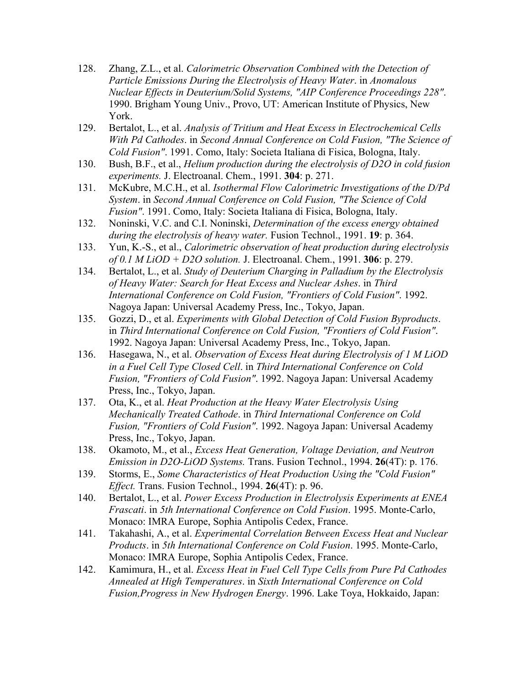- 128. Zhang, Z.L., et al. *Calorimetric Observation Combined with the Detection of Particle Emissions During the Electrolysis of Heavy Water*. in *Anomalous Nuclear Effects in Deuterium/Solid Systems, "AIP Conference Proceedings 228"*. 1990. Brigham Young Univ., Provo, UT: American Institute of Physics, New York.
- 129. Bertalot, L., et al. *Analysis of Tritium and Heat Excess in Electrochemical Cells With Pd Cathodes*. in *Second Annual Conference on Cold Fusion, "The Science of Cold Fusion"*. 1991. Como, Italy: Societa Italiana di Fisica, Bologna, Italy.
- 130. Bush, B.F., et al., *Helium production during the electrolysis of D2O in cold fusion experiments.* J. Electroanal. Chem., 1991. **304**: p. 271.
- 131. McKubre, M.C.H., et al. *Isothermal Flow Calorimetric Investigations of the D/Pd System*. in *Second Annual Conference on Cold Fusion, "The Science of Cold Fusion"*. 1991. Como, Italy: Societa Italiana di Fisica, Bologna, Italy.
- 132. Noninski, V.C. and C.I. Noninski, *Determination of the excess energy obtained during the electrolysis of heavy water.* Fusion Technol., 1991. **19**: p. 364.
- 133. Yun, K.-S., et al., *Calorimetric observation of heat production during electrolysis of 0.1 M LiOD + D2O solution.* J. Electroanal. Chem., 1991. **306**: p. 279.
- 134. Bertalot, L., et al. *Study of Deuterium Charging in Palladium by the Electrolysis of Heavy Water: Search for Heat Excess and Nuclear Ashes*. in *Third International Conference on Cold Fusion, "Frontiers of Cold Fusion"*. 1992. Nagoya Japan: Universal Academy Press, Inc., Tokyo, Japan.
- 135. Gozzi, D., et al. *Experiments with Global Detection of Cold Fusion Byproducts*. in *Third International Conference on Cold Fusion, "Frontiers of Cold Fusion"*. 1992. Nagoya Japan: Universal Academy Press, Inc., Tokyo, Japan.
- 136. Hasegawa, N., et al. *Observation of Excess Heat during Electrolysis of 1 M LiOD in a Fuel Cell Type Closed Cell*. in *Third International Conference on Cold Fusion, "Frontiers of Cold Fusion"*. 1992. Nagoya Japan: Universal Academy Press, Inc., Tokyo, Japan.
- 137. Ota, K., et al. *Heat Production at the Heavy Water Electrolysis Using Mechanically Treated Cathode*. in *Third International Conference on Cold Fusion, "Frontiers of Cold Fusion"*. 1992. Nagoya Japan: Universal Academy Press, Inc., Tokyo, Japan.
- 138. Okamoto, M., et al., *Excess Heat Generation, Voltage Deviation, and Neutron Emission in D2O-LiOD Systems.* Trans. Fusion Technol., 1994. **26**(4T): p. 176.
- 139. Storms, E., *Some Characteristics of Heat Production Using the "Cold Fusion" Effect.* Trans. Fusion Technol., 1994. **26**(4T): p. 96.
- 140. Bertalot, L., et al. *Power Excess Production in Electrolysis Experiments at ENEA Frascati*. in *5th International Conference on Cold Fusion*. 1995. Monte-Carlo, Monaco: IMRA Europe, Sophia Antipolis Cedex, France.
- 141. Takahashi, A., et al. *Experimental Correlation Between Excess Heat and Nuclear Products*. in *5th International Conference on Cold Fusion*. 1995. Monte-Carlo, Monaco: IMRA Europe, Sophia Antipolis Cedex, France.
- 142. Kamimura, H., et al. *Excess Heat in Fuel Cell Type Cells from Pure Pd Cathodes Annealed at High Temperatures*. in *Sixth International Conference on Cold Fusion,Progress in New Hydrogen Energy*. 1996. Lake Toya, Hokkaido, Japan: